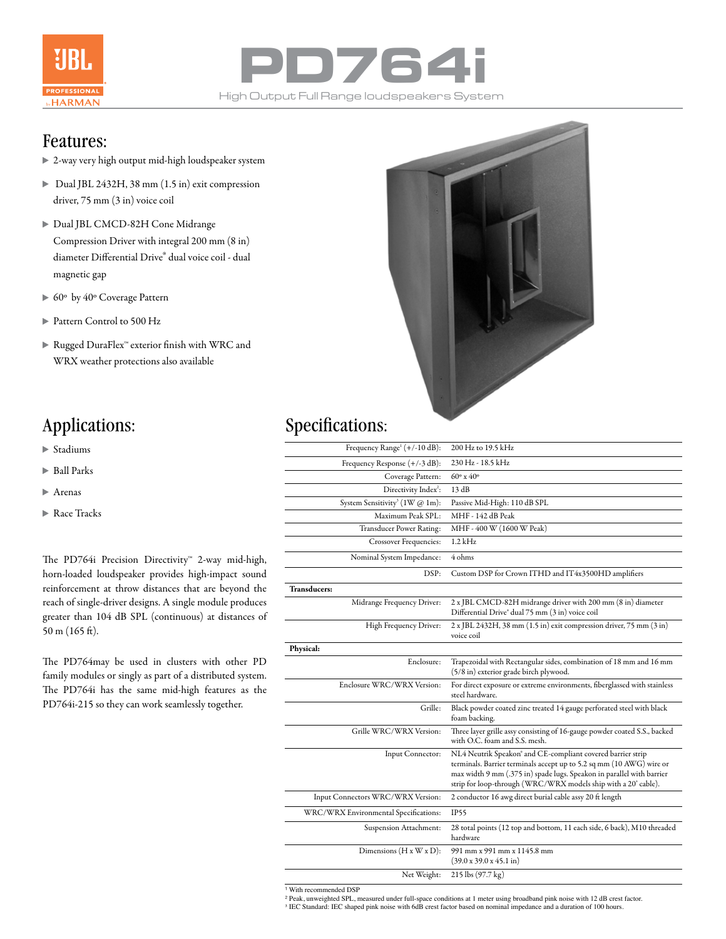



### Features:

- 2-way very high output mid-high loudspeaker system
- Dual JBL 2432H, 38 mm (1.5 in) exit compression driver, 75 mm (3 in) voice coil
- Dual JBL CMCD-82H Cone Midrange Compression Driver with integral 200 mm (8 in) diameter Differential Drive® dual voice coil - dual magnetic gap
- 60º by 40º Coverage Pattern
- Pattern Control to 500 Hz
- Rugged DuraFlex™ exterior finish with WRC and WRX weather protections also available



## Applications: Specifications:

| Stadiums |
|----------|
|----------|

- $\blacktriangleright$  Ball Parks
- Arenas
- Race Tracks

The PD764i Precision Directivity™ 2-way mid-high, horn-loaded loudspeaker provides high-impact sound reinforcement at throw distances that are beyond the reach of single-driver designs. A single module produces greater than 104 dB SPL (continuous) at distances of 50 m (165 ft).

The PD764may be used in clusters with other PD family modules or singly as part of a distributed system. The PD764i has the same mid-high features as the PD764i-215 so they can work seamlessly together.

| Frequency Range <sup>1</sup> (+/-10 dB):   | 200 Hz to 19.5 kHz                                                                                                                                                                                                                                                             |
|--------------------------------------------|--------------------------------------------------------------------------------------------------------------------------------------------------------------------------------------------------------------------------------------------------------------------------------|
| Frequency Response (+/-3 dB):              | 230 Hz - 18.5 kHz                                                                                                                                                                                                                                                              |
| Coverage Pattern:                          | $60^{\circ}$ x $40^{\circ}$                                                                                                                                                                                                                                                    |
| Directivity Index <sup>2</sup> :           | 13 dB                                                                                                                                                                                                                                                                          |
| System Sensitivity <sup>3</sup> (1W @ 1m): | Passive Mid-High: 110 dB SPL                                                                                                                                                                                                                                                   |
| Maximum Peak SPL:                          | MHF - 142 dB Peak                                                                                                                                                                                                                                                              |
| Transducer Power Rating:                   | MHF - 400 W (1600 W Peak)                                                                                                                                                                                                                                                      |
| Crossover Frequencies:                     | $1.2$ kHz                                                                                                                                                                                                                                                                      |
| Nominal System Impedance:                  | 4 ohms                                                                                                                                                                                                                                                                         |
| DSP:                                       | Custom DSP for Crown ITHD and IT4x3500HD amplifiers                                                                                                                                                                                                                            |
| <b>Transducers:</b>                        |                                                                                                                                                                                                                                                                                |
| Midrange Frequency Driver:                 | 2 x JBL CMCD-82H midrange driver with 200 mm (8 in) diameter<br>Differential Drive" dual 75 mm (3 in) voice coil                                                                                                                                                               |
| High Frequency Driver:                     | 2 x JBL 2432H, 38 mm (1.5 in) exit compression driver, 75 mm (3 in)<br>voice coil                                                                                                                                                                                              |
| Physical:                                  |                                                                                                                                                                                                                                                                                |
| Enclosure:                                 | Trapezoidal with Rectangular sides, combination of 18 mm and 16 mm<br>(5/8 in) exterior grade birch plywood.                                                                                                                                                                   |
| Enclosure WRC/WRX Version:                 | For direct exposure or extreme environments, fiberglassed with stainless<br>steel hardware.                                                                                                                                                                                    |
| Grille:                                    | Black powder coated zinc treated 14 gauge perforated steel with black<br>foam backing.                                                                                                                                                                                         |
| Grille WRC/WRX Version:                    | Three layer grille assy consisting of 16-gauge powder coated S.S., backed<br>with O.C. foam and S.S. mesh.                                                                                                                                                                     |
| Input Connector:                           | NL4 Neutrik Speakon" and CE-compliant covered barrier strip<br>terminals. Barrier terminals accept up to 5.2 sq mm (10 AWG) wire or<br>max width 9 mm (.375 in) spade lugs. Speakon in parallel with barrier<br>strip for loop-through (WRC/WRX models ship with a 20' cable). |
| Input Connectors WRC/WRX Version:          | 2 conductor 16 awg direct burial cable assy 20 ft length                                                                                                                                                                                                                       |
| WRC/WRX Environmental Specifications:      | <b>IP55</b>                                                                                                                                                                                                                                                                    |
| Suspension Attachment:                     | 28 total points (12 top and bottom, 11 each side, 6 back), M10 threaded<br>hardware                                                                                                                                                                                            |
| Dimensions $(H x W x D)$ :                 | 991 mm x 991 mm x 1145.8 mm<br>$(39.0 \times 39.0 \times 45.1 \text{ in})$                                                                                                                                                                                                     |
| Net Weight:                                | 215 lbs (97.7 kg)                                                                                                                                                                                                                                                              |

<sup>1</sup> With recommended DSP

² Peak, unweighted SPL, measured under full-space conditions at 1 meter using broadband pink noise with 12 dB crest factor.

<sup>3</sup> IEC Standard: IEC shaped pink noise with 6dB crest factor based on nominal impedance and a duration of 100 hours.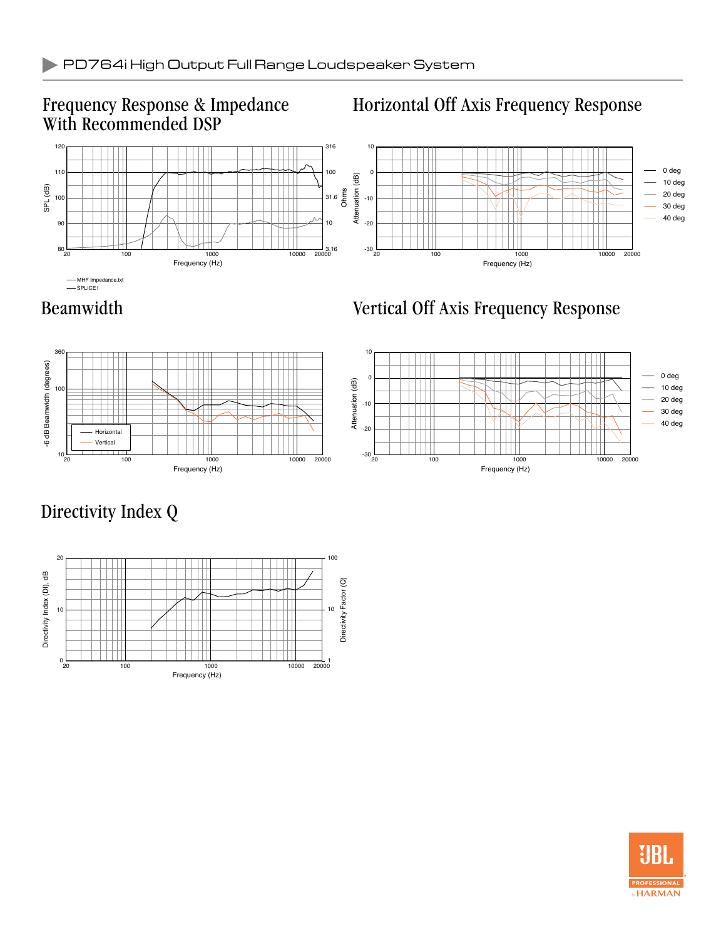### Frequency Response & Impedance With Recommended DSP

## Horizontal Off Axis Frequency Response



### Beamwidth Vertical Off Axis Frequency Response



# Directivity Index Q